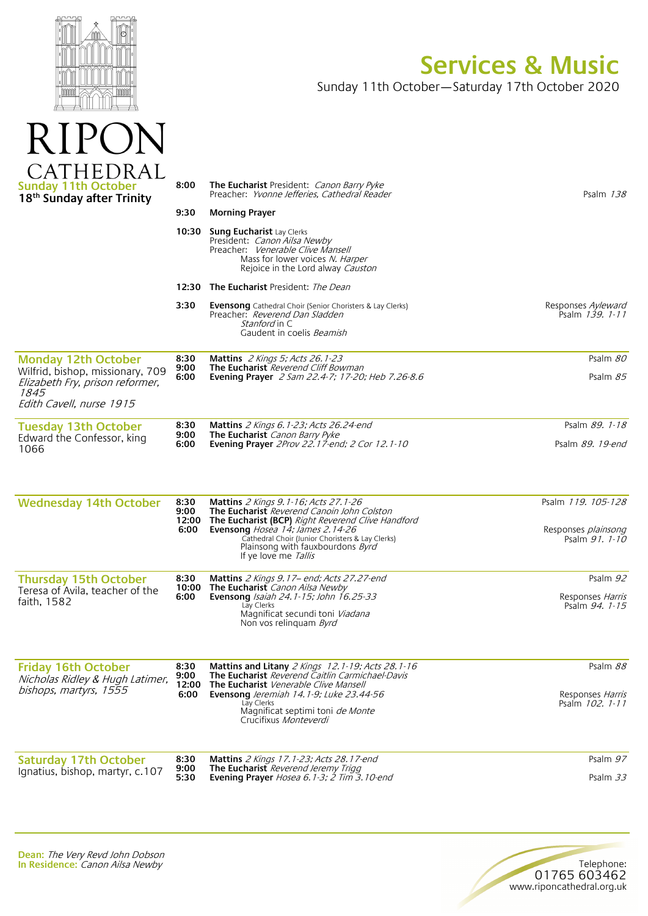

RIPON

## **Services & Music**

Sunday 11th October—Saturday 17th October 2020

| ATHEDRAL<br><b>Sunday 11th October</b><br>18 <sup>th</sup> Sunday after Trinity                                                              | 8:00<br>9:30<br>10:30         | <b>The Eucharist</b> President: <i>Canon Barry Pyke</i><br>Preacher: Yvonne Jefferies, Cathedral Reader<br><b>Morning Prayer</b><br><b>Sung Eucharist Lay Clerks</b><br>President: Canon Ailsa Newby<br>Preacher: Venerable Clive Mansell<br>Mass for lower voices N. Harper<br>Rejoice in the Lord alway Causton | Psalm 138                                                          |
|----------------------------------------------------------------------------------------------------------------------------------------------|-------------------------------|-------------------------------------------------------------------------------------------------------------------------------------------------------------------------------------------------------------------------------------------------------------------------------------------------------------------|--------------------------------------------------------------------|
|                                                                                                                                              |                               | <b>12:30 The Eucharist</b> President: <i>The Dean</i>                                                                                                                                                                                                                                                             |                                                                    |
|                                                                                                                                              | 3:30                          | <b>Evensong</b> Cathedral Choir (Senior Choristers & Lay Clerks)<br>Preacher: Reverend Dan Sladden<br><i>Stanford</i> in C<br>Gaudent in coelis <i>Beamish</i>                                                                                                                                                    | Responses Ayleward<br>Psalm 139. 1-11                              |
| <b>Monday 12th October</b><br>Wilfrid, bishop, missionary, 709<br>Elizabeth Fry, prison reformer,<br><i>1845</i><br>Edith Cavell, nurse 1915 | 8:30<br>9:00<br>6:00          | <b>Mattins</b> 2 Kings 5; Acts 26.1-23<br><b>The Eucharist</b> Reverend Cliff Bowman<br>Evening Prayer 2 Sam 22.4-7; 17-20; Heb 7.26-8.6                                                                                                                                                                          | Psalm 80<br>Psalm 85                                               |
| <b>Tuesday 13th October</b><br>Edward the Confessor, king<br>1066                                                                            | 8:30<br>9:00<br>6:00          | <b>Mattins</b> 2 Kings 6.1-23; Acts 26.24-end<br>The Eucharist Canon Barry Pyke<br><b>Evening Prayer</b> 2Prov 22.17-end; 2 Cor 12.1-10                                                                                                                                                                           | Psalm 89. 1-18<br>Psalm 89. 19-end                                 |
| <b>Wednesday 14th October</b>                                                                                                                | 8:30<br>9:00<br>12:00<br>6:00 | <b>Mattins</b> 2 Kings 9.1-16; Acts 27.1-26<br>The Eucharist Reverend Canoin John Colston<br>The Eucharist (BCP) Right Reverend Clive Handford<br>Evensong Hosea 14; James 2.14-26<br>Cathedral Choir (Junior Choristers & Lay Clerks)<br>Plainsong with fauxbourdons <i>Byrd</i><br>If ye love me Tallis         | Psalm 119, 105-128<br>Responses <i>plainsong</i><br>Psalm 91. 1-10 |
| <b>Thursday 15th October</b><br>Teresa of Avila, teacher of the<br>faith, 1582                                                               | 8:30<br>10:00<br>6:00         | <b>Mattins</b> $2$ Kings $9.17$ – end; Acts $27.27$ -end<br>The Eucharist Canon Ailsa Newby<br>Evensong Isaiah 24.1-15; John 16.25-33<br>Lay Clerks<br>Magnificat secundi toni Viadana<br>Non vos relinguam Byrd                                                                                                  | Psalm 92<br>Responses Harris<br>Psalm 94. 1-15                     |
| <b>Friday 16th October</b><br>Nicholas Ridley & Hugh Latimer,<br>bishops, martyrs, 1555                                                      | 8:30<br>9:00<br>12:00<br>6:00 | Mattins and Litany 2 Kings 12.1-19; Acts 28.1-16<br>The Eucharist Reverend Caitlin Carmichael-Davis<br>The Eucharist Venerable Clive Mansell<br>Evensong Jeremiah 14.1-9; Luke 23.44-56<br>Lay Clerks<br>Magnificat septimi toni <i>de Monte</i><br>Crucifixus Monteverdi                                         | Psalm 88<br>Responses <i>Harris</i><br>Psalm 102. 1-11             |
| <b>Saturday 17th October</b>                                                                                                                 | 8:30<br>9:00                  | <b>Mattins</b> 2 Kings 17.1-23; Acts 28.17-end<br>The Eucharist Reverend Jeremy Trigg                                                                                                                                                                                                                             | Psalm 97                                                           |
| Ignatius, bishop, martyr, c.107                                                                                                              | 5:30                          | Evening Prayer Hosea 6.1-3; 2 Tim 3.10-end                                                                                                                                                                                                                                                                        | Psalm 33                                                           |

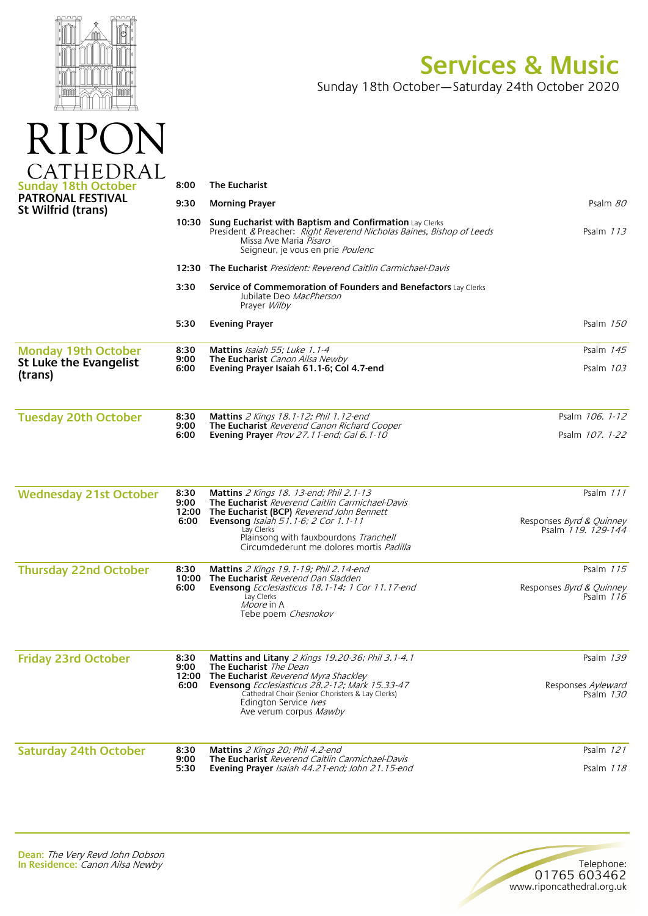

RIPC

 $\bigvee$ 

## **Services & Music**

Telephone:

01765 603462 www.riponcathedral.org.uk

Sunday 18th October—Saturday 24th October 2020

| ATHEDRAL                                        |                               |                                                                                                                                                                                                                                        |                                                                        |
|-------------------------------------------------|-------------------------------|----------------------------------------------------------------------------------------------------------------------------------------------------------------------------------------------------------------------------------------|------------------------------------------------------------------------|
| <b>Sunday 18th October</b><br>PATRONAL FESTIVAL | 8:00                          | <b>The Eucharist</b>                                                                                                                                                                                                                   |                                                                        |
| St Wilfrid (trans)                              | 9:30                          | <b>Morning Prayer</b>                                                                                                                                                                                                                  | Psalm 80                                                               |
|                                                 | 10:30                         | <b>Sung Eucharist with Baptism and Confirmation Lay Clerks</b><br>President & Preacher: Right Reverend Nicholas Baines, Bishop of Leeds<br>Missa Ave Maria Pisaro<br>Seigneur, je vous en prie Poulenc                                 | Psalm $113$                                                            |
|                                                 |                               | <b>12:30</b> The Eucharist President: Reverend Caitlin Carmichael-Davis                                                                                                                                                                |                                                                        |
|                                                 | 3:30                          | Service of Commemoration of Founders and Benefactors Lay Clerks<br>Jubilate Deo MacPherson<br>Prayer Wilby                                                                                                                             |                                                                        |
|                                                 | 5:30                          | <b>Evening Prayer</b>                                                                                                                                                                                                                  | Psalm 150                                                              |
| <b>Monday 19th October</b>                      | 8:30<br>9:00                  | Mattins Isaiah 55; Luke 1.1-4<br><b>The Eucharist</b> Canon Ailsa Newby                                                                                                                                                                | Psalm $145$                                                            |
| <b>St Luke the Evangelist</b><br>(trans)        | 6:00                          | Evening Prayer Isaiah 61.1-6; Col 4.7-end                                                                                                                                                                                              | Psalm 103                                                              |
| <b>Tuesday 20th October</b>                     | 8:30                          | <b>Mattins</b> 2 Kings 18.1-12; Phil 1.12-end                                                                                                                                                                                          | Psalm 106. 1-12                                                        |
|                                                 | 9:00<br>6:00                  | The Eucharist Reverend Canon Richard Cooper<br>Evening Prayer Prov 27.11-end; Gal 6.1-10                                                                                                                                               | Psalm 107. 1-22                                                        |
| <b>Wednesday 21st October</b>                   | 8:30<br>9:00<br>12:00<br>6:00 | Mattins 2 Kings 18. 13-end; Phil 2.1-13<br>The Eucharist Reverend Caitlin Carmichael-Davis<br>The Eucharist (BCP) Reverend John Bennett<br>Evensong Isaiah 51.1-6; 2 Cor 1.1-11<br>Lay Clerks<br>Plainsong with fauxbourdons Tranchell | Psalm 111<br>Responses <i>Byrd &amp; Quinney</i><br>Psalm 119. 129-144 |
|                                                 |                               | Circumdederunt me dolores mortis <i>Padilla</i>                                                                                                                                                                                        |                                                                        |
| <b>Thursday 22nd October</b>                    | 8:30<br>10:00<br>6:00         | Mattins 2 Kings 19.1-19; Phil 2.14-end<br>The Eucharist Reverend Dan Sladden<br><b>Evensong</b> Ecclesiasticus 18.1-14; 1 Cor 11.17-end<br>Lay Clerks<br>Moore in A<br>Tebe poem Chesnokov                                             | Psalm 115<br>Responses <i>Byrd &amp; Quinney</i><br>Psalm $116$        |
| <b>Friday 23rd October</b>                      | 8:30<br>9:00                  | Mattins and Litany 2 Kings 19.20-36; Phil 3.1-4.1<br>The Eucharist The Dean                                                                                                                                                            | Psalm 139                                                              |
|                                                 | 6:00                          | 12:00 The Eucharist Reverend Myra Shackley<br>Evensong Ecclesiasticus 28.2-12; Mark 15.33-47<br>Cathedral Choir (Senior Choristers & Lay Clerks)<br>Edington Service <i>lves</i><br>Ave verum corpus Mawby                             | Responses Ayleward<br>Psalm 130                                        |
| <b>Saturday 24th October</b>                    | 8:30                          | Mattins 2 Kings 20; Phil 4.2-end                                                                                                                                                                                                       | Psalm 121                                                              |
|                                                 | 9:00<br>5:30                  | The Eucharist Reverend Caitlin Carmichael-Davis<br>Evening Prayer Isaiah 44.21-end; John 21.15-end                                                                                                                                     | Psalm $118$                                                            |